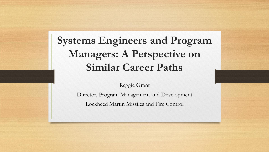**Systems Engineers and Program Managers: A Perspective on Similar Career Paths**

Reggie Grant

Director, Program Management and Development

Lockheed Martin Missiles and Fire Control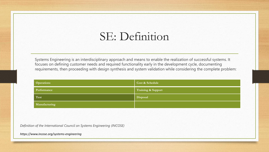## SE: Definition

Systems Engineering is an interdisciplinary approach and means to enable the realization of successful systems. It focuses on defining customer needs and required functionality early in the development cycle, documenting requirements, then proceeding with design synthesis and system validation while considering the complete problem:

| <b>Operations</b> | Cost & Schedule    |
|-------------------|--------------------|
| Performance       | Training & Support |
| Test              | Disposal           |
| Manufacturing     |                    |

*Definition of the International Council on Systems Engineering (INCOSE)*

*https://www.incose.org/systems-engineering*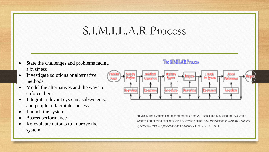### S.I.M.I.L.A.R Process

- **S**tate the challenges and problems facing a business
- **I**nvestigate solutions or alternative methods
- **Model the alternatives and the ways to** enforce them
- **I**ntegrate relevant systems, subsystems, and people to facilitate success
- **L**aunch the system
- **A**ssess performance
- **R**e-evaluate outputs to improve the system

#### The SIMILAR Process



**Figure 1.** The Systems Engineering Process from A. T. Bahill and B. Gissing, Re-evaluating systems engineering concepts using systems thinking, *IEEE Transaction on Systems, Man and Cybernetics, Part C: Applications and Reviews,* **28** (4), 516-527, 1998.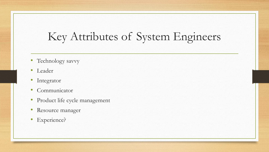# Key Attributes of System Engineers

- Technology savvy
- Leader
- Integrator
- Communicator
- Product life cycle management
- Resource manager
- Experience?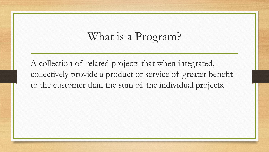# What is a Program?

A collection of related projects that when integrated, collectively provide a product or service of greater benefit to the customer than the sum of the individual projects.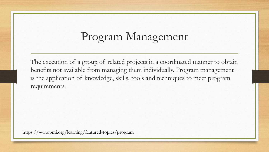# Program Management

The execution of a group of related projects in a coordinated manner to obtain benefits not available from managing them individually. Program management is the application of knowledge, skills, tools and techniques to meet program requirements.

https://www.pmi.org/learning/featured-topics/program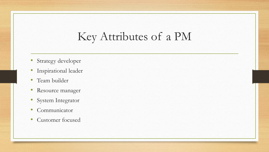## Key Attributes of a PM

- Strategy developer
- Inspirational leader
- Team builder
- Resource manager
- System Integrator
- Communicator
- Customer focused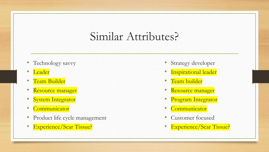### Similar Attributes?

- Technology savvy
- Leader
- Team Builder
- Resource manager
- System Integrator
- Communicator
- Product life cycle management
- Experience/Scar Tissue?
- Strategy developer
- Inspirational leader
- Team builder
- Resource manager
- Program Integrator
- **Communicator**
- Customer focused
- Experience/Scar Tissue?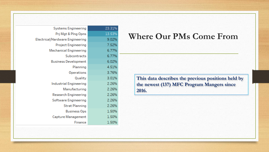| <b>Systems Engineering</b>             | 23.31% |
|----------------------------------------|--------|
| Prj Mgt & Plng Opns                    | 13.53% |
| <b>Electrical/Hardware Engineering</b> | 9.02%  |
| <b>Project Engineering</b>             | 7.52%  |
| <b>Mechanical Engineering</b>          | 6.77%  |
| Subcontracts                           | 6.77%  |
| <b>Business Development</b>            | 6.02%  |
| Planning                               | 4.51%  |
| Operations                             | 3.76%  |
| Quality                                | 3.01%  |
| <b>Industrial Engineering</b>          | 2.26%  |
| Manufacturing                          | 2.26%  |
| <b>Research Engineering</b>            | 2.26%  |
| <b>Software Engineering</b>            | 2.26%  |
| <b>Strat Planning</b>                  | 2.26%  |
| <b>Business Ops</b>                    | 1.50%  |
| <b>Capture Management</b>              | 1.50%  |
| Finance                                | 1.50%  |

#### **Where Our PMs Come From**

**This data describes the previous positions held by the newest (137) MFC Program Mangers since 2016.**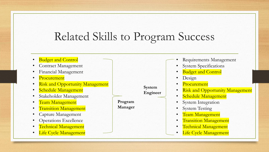# Related Skills to Program Success

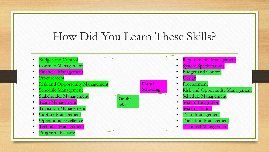# How Did You Learn These Skills?

- **Budget and Control** • Contract Management • Financial Management
	- **Procurement**
	- **Risk and Opportunity Management**
	- Schedule Management
	- Stakeholder Management
	- Team Management
	- **Transition Management**
	- Capture Management
	- Operations Excellence
	- Technical Management
	- Program Diversity



- Requirements Management
- **System Specifications**
- **Budget and Control** 
	- Design
- **Procurement**
- Risk and Opportunity Management
- Schedule Management
- **System Integration**
- **System Testing**
- Team Management
- **Transition Management**
- Technical Management